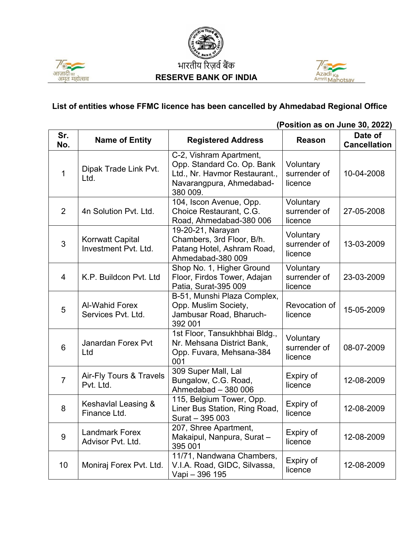





## **List of entities whose FFMC licence has been cancelled by Ahmedabad Regional Office**

|                | (Position as on June 30, 2022)                  |                                                                                                                                |                                      |                                |
|----------------|-------------------------------------------------|--------------------------------------------------------------------------------------------------------------------------------|--------------------------------------|--------------------------------|
| Sr.<br>No.     | <b>Name of Entity</b>                           | <b>Registered Address</b>                                                                                                      | <b>Reason</b>                        | Date of<br><b>Cancellation</b> |
| 1              | Dipak Trade Link Pvt.<br>Ltd.                   | C-2, Vishram Apartment,<br>Opp. Standard Co. Op. Bank<br>Ltd., Nr. Havmor Restaurant.,<br>Navarangpura, Ahmedabad-<br>380 009. | Voluntary<br>surrender of<br>licence | 10-04-2008                     |
| $\overline{2}$ | 4n Solution Pvt. Ltd.                           | 104, Iscon Avenue, Opp.<br>Choice Restaurant, C.G.<br>Road, Ahmedabad-380 006                                                  | Voluntary<br>surrender of<br>licence | 27-05-2008                     |
| 3              | <b>Korrwatt Capital</b><br>Investment Pvt. Ltd. | 19-20-21, Narayan<br>Chambers, 3rd Floor, B/h.<br>Patang Hotel, Ashram Road,<br>Ahmedabad-380 009                              | Voluntary<br>surrender of<br>licence | 13-03-2009                     |
| $\overline{4}$ | K.P. Buildcon Pvt. Ltd                          | Shop No. 1, Higher Ground<br>Floor, Firdos Tower, Adajan<br>Patia, Surat-395 009                                               | Voluntary<br>surrender of<br>licence | 23-03-2009                     |
| 5              | <b>Al-Wahid Forex</b><br>Services Pvt. Ltd.     | B-51, Munshi Plaza Complex,<br>Opp. Muslim Society,<br>Jambusar Road, Bharuch-<br>392 001                                      | Revocation of<br>licence             | 15-05-2009                     |
| 6              | <b>Janardan Forex Pvt</b><br>Ltd                | 1st Floor, Tansukhbhai Bldg.,<br>Nr. Mehsana District Bank,<br>Opp. Fuvara, Mehsana-384<br>001                                 | Voluntary<br>surrender of<br>licence | 08-07-2009                     |
| $\overline{7}$ | Air-Fly Tours & Travels<br>Pvt. Ltd.            | 309 Super Mall, Lal<br>Bungalow, C.G. Road,<br>Ahmedabad - 380 006                                                             | Expiry of<br>licence                 | 12-08-2009                     |
| 8              | Keshavlal Leasing &<br>Finance Ltd.             | 115, Belgium Tower, Opp.<br>Liner Bus Station, Ring Road,<br>Surat - 395 003                                                   | Expiry of<br>licence                 | 12-08-2009                     |
| $9$            | <b>Landmark Forex</b><br>Advisor Pvt. Ltd.      | 207, Shree Apartment,<br>Makaipul, Nanpura, Surat-<br>395 001                                                                  | Expiry of<br>licence                 | 12-08-2009                     |
| 10             | Moniraj Forex Pvt. Ltd.                         | 11/71, Nandwana Chambers,<br>V.I.A. Road, GIDC, Silvassa,<br>Vapi - 396 195                                                    | Expiry of<br>licence                 | 12-08-2009                     |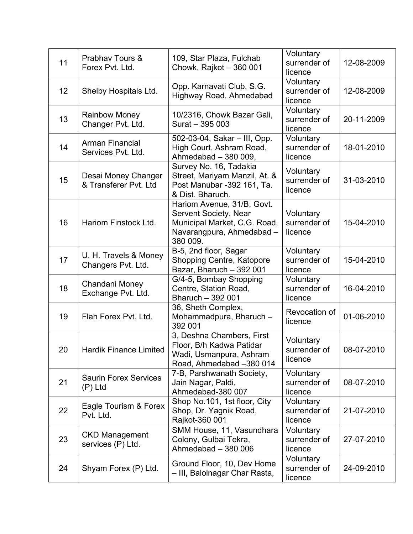| 11 | Prabhav Tours &<br>Forex Pvt. Ltd.           | 109, Star Plaza, Fulchab<br>Chowk, Rajkot - 360 001                                                                          | Voluntary<br>surrender of<br>licence | 12-08-2009 |
|----|----------------------------------------------|------------------------------------------------------------------------------------------------------------------------------|--------------------------------------|------------|
| 12 | Shelby Hospitals Ltd.                        | Opp. Karnavati Club, S.G.<br><b>Highway Road, Ahmedabad</b>                                                                  | Voluntary<br>surrender of<br>licence | 12-08-2009 |
| 13 | <b>Rainbow Money</b><br>Changer Pvt. Ltd.    | 10/2316, Chowk Bazar Gali,<br>Surat - 395 003                                                                                | Voluntary<br>surrender of<br>licence | 20-11-2009 |
| 14 | <b>Arman Financial</b><br>Services Pvt. Ltd. | 502-03-04, Sakar - III, Opp.<br>High Court, Ashram Road,<br>Ahmedabad - 380 009,                                             | Voluntary<br>surrender of<br>licence | 18-01-2010 |
| 15 | Desai Money Changer<br>& Transferer Pvt. Ltd | Survey No. 16, Tadakia<br>Street, Mariyam Manzil, At. &<br>Post Manubar -392 161, Ta.<br>& Dist. Bharuch.                    | Voluntary<br>surrender of<br>licence | 31-03-2010 |
| 16 | Hariom Finstock Ltd.                         | Hariom Avenue, 31/B, Govt.<br>Servent Society, Near<br>Municipal Market, C.G. Road,<br>Navarangpura, Ahmedabad -<br>380 009. | Voluntary<br>surrender of<br>licence | 15-04-2010 |
| 17 | U. H. Travels & Money<br>Changers Pvt. Ltd.  | B-5, 2nd floor, Sagar<br><b>Shopping Centre, Katopore</b><br>Bazar, Bharuch - 392 001                                        | Voluntary<br>surrender of<br>licence | 15-04-2010 |
| 18 | Chandani Money<br>Exchange Pvt. Ltd.         | G/4-5, Bombay Shopping<br>Centre, Station Road,<br>Bharuch - 392 001                                                         | Voluntary<br>surrender of<br>licence | 16-04-2010 |
| 19 | Flah Forex Pvt. Ltd.                         | 36, Sheth Complex,<br>Mohammadpura, Bharuch-<br>392 001                                                                      | Revocation of<br>licence             | 01-06-2010 |
| 20 | <b>Hardik Finance Limited</b>                | 3, Deshna Chambers, First<br>Floor, B/h Kadwa Patidar<br>Wadi, Usmanpura, Ashram<br>Road, Ahmedabad -380 014                 | Voluntary<br>surrender of<br>licence | 08-07-2010 |
| 21 | <b>Saurin Forex Services</b><br>$(P)$ Ltd    | 7-B, Parshwanath Society,<br>Jain Nagar, Paldi,<br>Ahmedabad-380 007                                                         | Voluntary<br>surrender of<br>licence | 08-07-2010 |
| 22 | Eagle Tourism & Forex<br>Pvt. Ltd.           | Shop No.101, 1st floor, City<br>Shop, Dr. Yagnik Road,<br>Rajkot-360 001                                                     | Voluntary<br>surrender of<br>licence | 21-07-2010 |
| 23 | <b>CKD Management</b><br>services (P) Ltd.   | SMM House, 11, Vasundhara<br>Colony, Gulbai Tekra,<br>Ahmedabad - 380 006                                                    | Voluntary<br>surrender of<br>licence | 27-07-2010 |
| 24 | Shyam Forex (P) Ltd.                         | Ground Floor, 10, Dev Home<br>- III, Balolnagar Char Rasta,                                                                  | Voluntary<br>surrender of<br>licence | 24-09-2010 |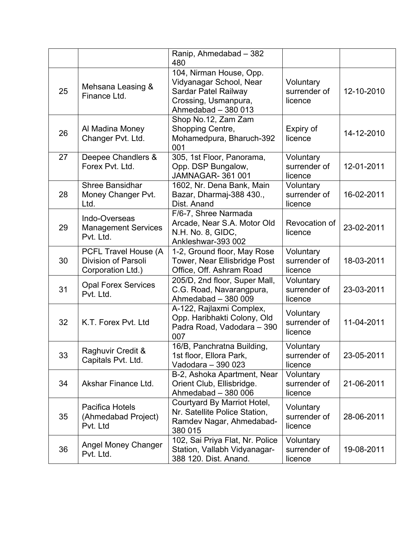|    |                                                                                | Ranip, Ahmedabad - 382<br>480                                                                                                    |                                      |            |
|----|--------------------------------------------------------------------------------|----------------------------------------------------------------------------------------------------------------------------------|--------------------------------------|------------|
| 25 | Mehsana Leasing &<br>Finance Ltd.                                              | 104, Nirman House, Opp.<br>Vidyanagar School, Near<br><b>Sardar Patel Railway</b><br>Crossing, Usmanpura,<br>Ahmedabad - 380 013 | Voluntary<br>surrender of<br>licence | 12-10-2010 |
| 26 | Al Madina Money<br>Changer Pvt. Ltd.                                           | Shop No.12, Zam Zam<br>Shopping Centre,<br>Mohamedpura, Bharuch-392<br>001                                                       | Expiry of<br>licence                 | 14-12-2010 |
| 27 | Deepee Chandlers &<br>Forex Pvt. Ltd.                                          | 305, 1st Floor, Panorama,<br>Opp. DSP Bungalow,<br><b>JAMNAGAR-361001</b>                                                        | Voluntary<br>surrender of<br>licence | 12-01-2011 |
| 28 | <b>Shree Bansidhar</b><br>Money Changer Pvt.<br>Ltd.                           | 1602, Nr. Dena Bank, Main<br>Bazar, Dharmaj-388 430.,<br>Dist. Anand                                                             | Voluntary<br>surrender of<br>licence | 16-02-2011 |
| 29 | Indo-Overseas<br><b>Management Services</b><br>Pvt. Ltd.                       | F/6-7, Shree Narmada<br>Arcade, Near S.A. Motor Old<br>N.H. No. 8, GIDC,<br>Ankleshwar-393 002                                   | Revocation of<br>licence             | 23-02-2011 |
| 30 | <b>PCFL Travel House (A</b><br><b>Division of Parsoli</b><br>Corporation Ltd.) | 1-2, Ground floor, May Rose<br>Tower, Near Ellisbridge Post<br>Office, Off. Ashram Road                                          | Voluntary<br>surrender of<br>licence | 18-03-2011 |
| 31 | <b>Opal Forex Services</b><br>Pvt. Ltd.                                        | 205/D, 2nd floor, Super Mall,<br>C.G. Road, Navarangpura,<br>Ahmedabad - 380 009                                                 | Voluntary<br>surrender of<br>licence | 23-03-2011 |
| 32 | K.T. Forex Pvt. Ltd.                                                           | A-122, Rajlaxmi Complex,<br>Opp. Haribhakti Colony, Old<br>Padra Road, Vadodara - 390<br>007                                     | Voluntary<br>surrender of<br>licence | 11-04-2011 |
| 33 | Raghuvir Credit &<br>Capitals Pvt. Ltd.                                        | 16/B, Panchratna Building,<br>1st floor, Ellora Park,<br>Vadodara - 390 023                                                      | Voluntary<br>surrender of<br>licence | 23-05-2011 |
| 34 | Akshar Finance Ltd.                                                            | B-2, Ashoka Apartment, Near<br>Orient Club, Ellisbridge.<br>Ahmedabad - 380 006                                                  | Voluntary<br>surrender of<br>licence | 21-06-2011 |
| 35 | Pacifica Hotels<br>(Ahmedabad Project)<br>Pvt. Ltd                             | Courtyard By Marriot Hotel,<br>Nr. Satellite Police Station,<br>Ramdev Nagar, Ahmedabad-<br>380 015                              | Voluntary<br>surrender of<br>licence | 28-06-2011 |
| 36 | Angel Money Changer<br>Pvt. Ltd.                                               | 102, Sai Priya Flat, Nr. Police<br>Station, Vallabh Vidyanagar-<br>388 120. Dist. Anand.                                         | Voluntary<br>surrender of<br>licence | 19-08-2011 |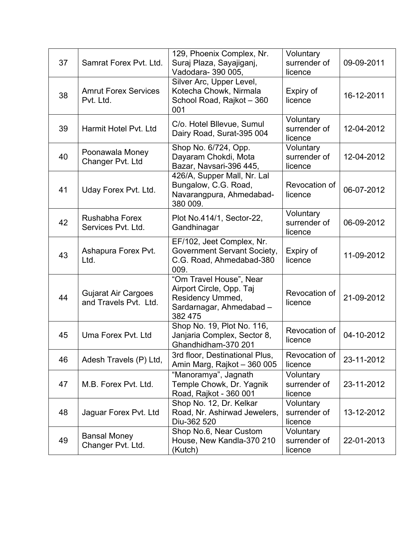| 37 | Samrat Forex Pvt. Ltd.                              | 129, Phoenix Complex, Nr.<br>Suraj Plaza, Sayajiganj,<br>Vadodara- 390 005,                                    | Voluntary<br>surrender of<br>licence | 09-09-2011 |
|----|-----------------------------------------------------|----------------------------------------------------------------------------------------------------------------|--------------------------------------|------------|
| 38 | <b>Amrut Forex Services</b><br>Pvt. Ltd.            | Silver Arc, Upper Level,<br>Kotecha Chowk, Nirmala<br>School Road, Rajkot - 360<br>001                         | Expiry of<br>licence                 | 16-12-2011 |
| 39 | Harmit Hotel Pvt. Ltd.                              | C/o. Hotel Bllevue, Sumul<br>Dairy Road, Surat-395 004                                                         | Voluntary<br>surrender of<br>licence | 12-04-2012 |
| 40 | Poonawala Money<br>Changer Pvt. Ltd                 | Shop No. 6/724, Opp.<br>Dayaram Chokdi, Mota<br>Bazar, Navsari-396 445,                                        | Voluntary<br>surrender of<br>licence | 12-04-2012 |
| 41 | Uday Forex Pvt. Ltd.                                | 426/A, Supper Mall, Nr. Lal<br>Bungalow, C.G. Road,<br>Navarangpura, Ahmedabad-<br>380 009.                    | Revocation of<br>licence             | 06-07-2012 |
| 42 | <b>Rushabha Forex</b><br>Services Pvt. Ltd.         | Plot No.414/1, Sector-22,<br>Gandhinagar                                                                       | Voluntary<br>surrender of<br>licence | 06-09-2012 |
| 43 | Ashapura Forex Pvt.<br>Ltd.                         | EF/102, Jeet Complex, Nr.<br>Government Servant Society,<br>C.G. Road, Ahmedabad-380<br>009.                   | Expiry of<br>licence                 | 11-09-2012 |
| 44 | <b>Gujarat Air Cargoes</b><br>and Travels Pvt. Ltd. | "Om Travel House", Near<br>Airport Circle, Opp. Taj<br>Residency Ummed,<br>Sardarnagar, Ahmedabad -<br>382 475 | Revocation of<br>licence             | 21-09-2012 |
| 45 | Uma Forex Pyt. Ltd.                                 | Shop No. 19, Plot No. 116,<br>Janjaria Complex, Sector 8,<br>Ghandhidham-370 201                               | Revocation of<br>licence             | 04-10-2012 |
| 46 | Adesh Travels (P) Ltd,                              | 3rd floor, Destinational Plus,<br>Amin Marg, Rajkot - 360 005                                                  | Revocation of<br>licence             | 23-11-2012 |
| 47 | M.B. Forex Pvt. Ltd.                                | "Manoramya", Jagnath<br>Temple Chowk, Dr. Yagnik<br>Road, Rajkot - 360 001                                     | Voluntary<br>surrender of<br>licence | 23-11-2012 |
| 48 | Jaguar Forex Pvt. Ltd                               | Shop No. 12, Dr. Kelkar<br>Road, Nr. Ashirwad Jewelers,<br>Diu-362 520                                         | Voluntary<br>surrender of<br>licence | 13-12-2012 |
| 49 | <b>Bansal Money</b><br>Changer Pvt. Ltd.            | Shop No.6, Near Custom<br>House, New Kandla-370 210<br>(Kutch)                                                 | Voluntary<br>surrender of<br>licence | 22-01-2013 |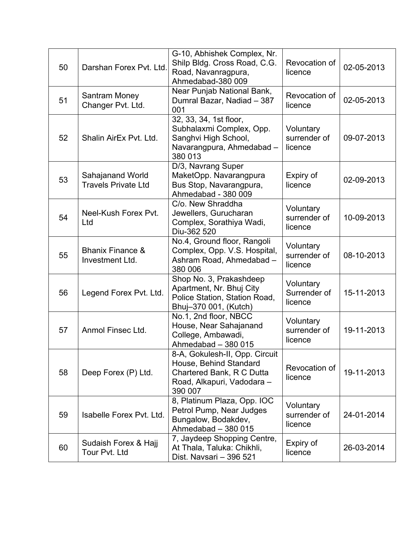| 50 | Darshan Forex Pvt. Ltd.                        | G-10, Abhishek Complex, Nr.<br>Shilp Bldg. Cross Road, C.G.<br>Road, Navanragpura,<br>Ahmedabad-380 009                        | Revocation of<br>licence             | 02-05-2013 |
|----|------------------------------------------------|--------------------------------------------------------------------------------------------------------------------------------|--------------------------------------|------------|
| 51 | <b>Santram Money</b><br>Changer Pvt. Ltd.      | Near Punjab National Bank,<br>Dumral Bazar, Nadiad - 387<br>001                                                                | Revocation of<br>licence             | 02-05-2013 |
| 52 | Shalin AirEx Pvt. Ltd.                         | 32, 33, 34, 1st floor,<br>Subhalaxmi Complex, Opp.<br>Sanghvi High School,<br>Navarangpura, Ahmedabad -<br>380 013             | Voluntary<br>surrender of<br>licence | 09-07-2013 |
| 53 | Sahajanand World<br><b>Travels Private Ltd</b> | D/3, Navrang Super<br>MaketOpp. Navarangpura<br>Bus Stop, Navarangpura,<br>Ahmedabad - 380 009                                 | Expiry of<br>licence                 | 02-09-2013 |
| 54 | Neel-Kush Forex Pvt.<br>Ltd                    | C/o. New Shraddha<br>Jewellers, Gurucharan<br>Complex, Sorathiya Wadi,<br>Diu-362 520                                          | Voluntary<br>surrender of<br>licence | 10-09-2013 |
| 55 | <b>Bhanix Finance &amp;</b><br>Investment Ltd. | No.4, Ground floor, Rangoli<br>Complex, Opp. V.S. Hospital,<br>Ashram Road, Ahmedabad -<br>380 006                             | Voluntary<br>surrender of<br>licence | 08-10-2013 |
| 56 | Legend Forex Pvt. Ltd.                         | Shop No. 3, Prakashdeep<br>Apartment, Nr. Bhuj City<br>Police Station, Station Road,<br>Bhuj-370 001, (Kutch)                  | Voluntary<br>Surrender of<br>licence | 15-11-2013 |
| 57 | Anmol Finsec Ltd.                              | No.1, 2nd floor, NBCC<br>House, Near Sahajanand<br>College, Ambawadi,<br>Ahmedabad - 380 015                                   | Voluntary<br>surrender of<br>licence | 19-11-2013 |
| 58 | Deep Forex (P) Ltd.                            | 8-A, Gokulesh-II, Opp. Circuit<br>House, Behind Standard<br>Chartered Bank, R C Dutta<br>Road, Alkapuri, Vadodara -<br>390 007 | Revocation of<br>licence             | 19-11-2013 |
| 59 | Isabelle Forex Pvt. Ltd.                       | 8, Platinum Plaza, Opp. IOC<br>Petrol Pump, Near Judges<br>Bungalow, Bodakdev,<br>Ahmedabad - 380 015                          | Voluntary<br>surrender of<br>licence | 24-01-2014 |
| 60 | Sudaish Forex & Hajj<br>Tour Pvt. Ltd          | 7, Jaydeep Shopping Centre,<br>At Thala, Taluka: Chikhli,<br>Dist. Navsari - 396 521                                           | Expiry of<br>licence                 | 26-03-2014 |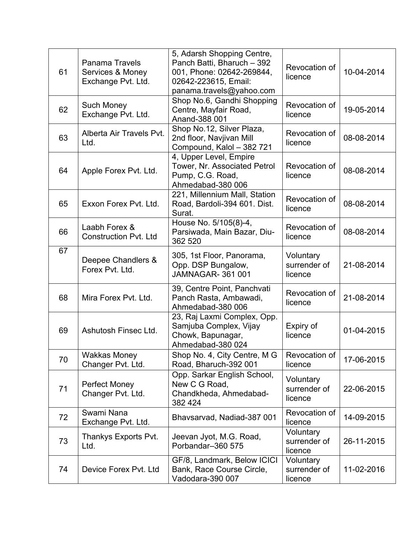| 61 | <b>Panama Travels</b><br>Services & Money<br>Exchange Pvt. Ltd. | 5, Adarsh Shopping Centre,<br>Panch Batti, Bharuch - 392<br>001, Phone: 02642-269844,<br>02642-223615, Email:<br>panama.travels@yahoo.com | Revocation of<br>licence             | 10-04-2014 |
|----|-----------------------------------------------------------------|-------------------------------------------------------------------------------------------------------------------------------------------|--------------------------------------|------------|
| 62 | <b>Such Money</b><br>Exchange Pvt. Ltd.                         | Shop No.6, Gandhi Shopping<br>Centre, Mayfair Road,<br>Anand-388 001                                                                      | Revocation of<br>licence             | 19-05-2014 |
| 63 | Alberta Air Travels Pvt.<br>Ltd.                                | Shop No.12, Silver Plaza,<br>2nd floor, Navjivan Mill<br>Compound, Kalol - 382 721                                                        | Revocation of<br>licence             | 08-08-2014 |
| 64 | Apple Forex Pvt. Ltd.                                           | 4, Upper Level, Empire<br>Tower, Nr. Associated Petrol<br>Pump, C.G. Road,<br>Ahmedabad-380 006                                           | Revocation of<br>licence             | 08-08-2014 |
| 65 | Exxon Forex Pvt. Ltd.                                           | 221, Millennium Mall, Station<br>Road, Bardoli-394 601. Dist.<br>Surat.                                                                   | Revocation of<br>licence             | 08-08-2014 |
| 66 | Laabh Forex &<br><b>Construction Pyt. Ltd</b>                   | House No. 5/105(8)-4,<br>Parsiwada, Main Bazar, Diu-<br>362 520                                                                           | Revocation of<br>licence             | 08-08-2014 |
| 67 | Deepee Chandlers &<br>Forex Pvt. Ltd.                           | 305, 1st Floor, Panorama,<br>Opp. DSP Bungalow,<br><b>JAMNAGAR-361001</b>                                                                 | Voluntary<br>surrender of<br>licence | 21-08-2014 |
| 68 | Mira Forex Pvt. Ltd.                                            | 39, Centre Point, Panchvati<br>Panch Rasta, Ambawadi,<br>Ahmedabad-380 006                                                                | Revocation of<br>licence             | 21-08-2014 |
| 69 | Ashutosh Finsec Ltd.                                            | 23, Raj Laxmi Complex, Opp.<br>Samjuba Complex, Vijay<br>Chowk, Bapunagar,<br>Ahmedabad-380 024                                           | Expiry of<br>licence                 | 01-04-2015 |
| 70 | <b>Wakkas Money</b><br>Changer Pvt. Ltd.                        | Shop No. 4, City Centre, M G<br>Road, Bharuch-392 001                                                                                     | Revocation of<br>licence             | 17-06-2015 |
| 71 | Perfect Money<br>Changer Pvt. Ltd.                              | Opp. Sarkar English School,<br>New C G Road,<br>Chandkheda, Ahmedabad-<br>382 424                                                         | Voluntary<br>surrender of<br>licence | 22-06-2015 |
| 72 | Swami Nana<br>Exchange Pvt. Ltd.                                | Bhavsarvad, Nadiad-387 001                                                                                                                | Revocation of<br>licence             | 14-09-2015 |
| 73 | Thankys Exports Pvt.<br>Ltd.                                    | Jeevan Jyot, M.G. Road,<br>Porbandar-360 575                                                                                              | Voluntary<br>surrender of<br>licence | 26-11-2015 |
| 74 | Device Forex Pvt. Ltd                                           | GF/8, Landmark, Below ICICI<br>Bank, Race Course Circle,<br>Vadodara-390 007                                                              | Voluntary<br>surrender of<br>licence | 11-02-2016 |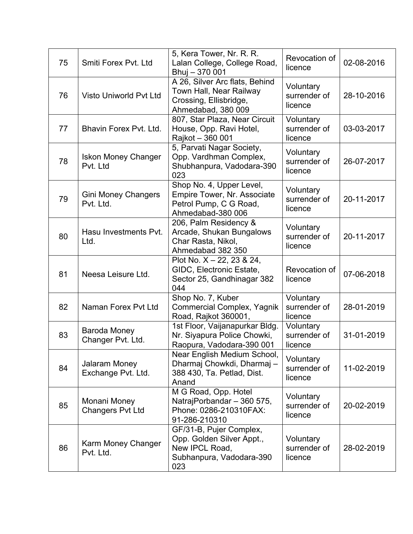| 75 | Smiti Forex Pvt. Ltd                     | 5, Kera Tower, Nr. R. R.<br>Lalan College, College Road,<br>Bhuj - 370 001                                    | Revocation of<br>licence             | 02-08-2016 |
|----|------------------------------------------|---------------------------------------------------------------------------------------------------------------|--------------------------------------|------------|
| 76 | <b>Visto Uniworld Pvt Ltd</b>            | A 26, Silver Arc flats, Behind<br>Town Hall, Near Railway<br>Crossing, Ellisbridge,<br>Ahmedabad, 380 009     | Voluntary<br>surrender of<br>licence | 28-10-2016 |
| 77 | Bhavin Forex Pvt. Ltd.                   | 807, Star Plaza, Near Circuit<br>House, Opp. Ravi Hotel,<br>Rajkot - 360 001                                  | Voluntary<br>surrender of<br>licence | 03-03-2017 |
| 78 | <b>Iskon Money Changer</b><br>Pvt. Ltd   | 5, Parvati Nagar Society,<br>Opp. Vardhman Complex,<br>Shubhanpura, Vadodara-390<br>023                       | Voluntary<br>surrender of<br>licence | 26-07-2017 |
| 79 | <b>Gini Money Changers</b><br>Pvt. Ltd.  | Shop No. 4, Upper Level,<br><b>Empire Tower, Nr. Associate</b><br>Petrol Pump, C G Road,<br>Ahmedabad-380 006 | Voluntary<br>surrender of<br>licence | 20-11-2017 |
| 80 | Hasu Investments Pvt.<br>Ltd.            | 206, Palm Residency &<br>Arcade, Shukan Bungalows<br>Char Rasta, Nikol,<br>Ahmedabad 382 350                  | Voluntary<br>surrender of<br>licence | 20-11-2017 |
| 81 | Neesa Leisure Ltd.                       | Plot No. $X - 22$ , 23 & 24,<br>GIDC, Electronic Estate,<br>Sector 25, Gandhinagar 382<br>044                 | Revocation of<br>licence             | 07-06-2018 |
| 82 | Naman Forex Pvt Ltd                      | Shop No. 7, Kuber<br><b>Commercial Complex, Yagnik</b><br>Road, Rajkot 360001,                                | Voluntary<br>surrender of<br>licence | 28-01-2019 |
| 83 | <b>Baroda Money</b><br>Changer Pvt. Ltd. | 1st Floor, Vaijanapurkar Bldg.<br>Nr. Siyapura Police Chowki,<br>Raopura, Vadodara-390 001                    | Voluntary<br>surrender of<br>licence | 31-01-2019 |
| 84 | Jalaram Money<br>Exchange Pvt. Ltd.      | Near English Medium School,<br>Dharmaj Chowkdi, Dharmaj -<br>388 430, Ta. Petlad, Dist.<br>Anand              | Voluntary<br>surrender of<br>licence | 11-02-2019 |
| 85 | Monani Money<br><b>Changers Pvt Ltd</b>  | M G Road, Opp. Hotel<br>NatrajPorbandar - 360 575,<br>Phone: 0286-210310FAX:<br>91-286-210310                 | Voluntary<br>surrender of<br>licence | 20-02-2019 |
| 86 | Karm Money Changer<br>Pvt. Ltd.          | GF/31-B, Pujer Complex,<br>Opp. Golden Silver Appt.,<br>New IPCL Road,<br>Subhanpura, Vadodara-390<br>023     | Voluntary<br>surrender of<br>licence | 28-02-2019 |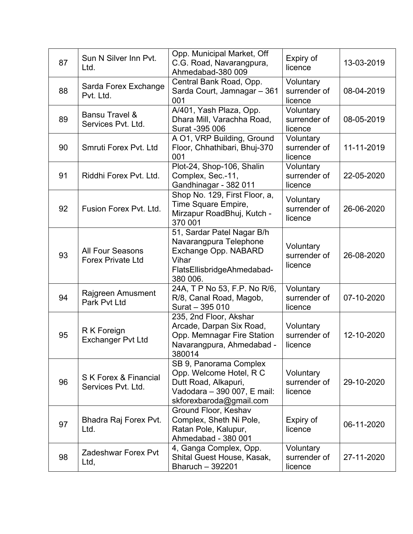| 87 | Sun N Silver Inn Pvt.<br>Ltd.                       | Opp. Municipal Market, Off<br>C.G. Road, Navarangpura,<br>Ahmedabad-380 009                                                         | Expiry of<br>licence                 | 13-03-2019 |
|----|-----------------------------------------------------|-------------------------------------------------------------------------------------------------------------------------------------|--------------------------------------|------------|
| 88 | Sarda Forex Exchange<br>Pvt. Ltd.                   | Central Bank Road, Opp.<br>Sarda Court, Jamnagar - 361<br>001                                                                       | Voluntary<br>surrender of<br>licence | 08-04-2019 |
| 89 | <b>Bansu Travel &amp;</b><br>Services Pvt. Ltd.     | A/401, Yash Plaza, Opp.<br>Dhara Mill, Varachha Road,<br>Surat -395 006                                                             | Voluntary<br>surrender of<br>licence | 08-05-2019 |
| 90 | Smruti Forex Pvt. Ltd                               | A O1, VRP Building, Ground<br>Floor, Chhathibari, Bhuj-370<br>001                                                                   | Voluntary<br>surrender of<br>licence | 11-11-2019 |
| 91 | Riddhi Forex Pvt. Ltd.                              | Plot-24, Shop-106, Shalin<br>Complex, Sec.-11,<br>Gandhinagar - 382 011                                                             | Voluntary<br>surrender of<br>licence | 22-05-2020 |
| 92 | Fusion Forex Pvt. Ltd.                              | Shop No. 129, First Floor, a,<br>Time Square Empire,<br>Mirzapur RoadBhuj, Kutch -<br>370 001                                       | Voluntary<br>surrender of<br>licence | 26-06-2020 |
| 93 | <b>All Four Seasons</b><br><b>Forex Private Ltd</b> | 51, Sardar Patel Nagar B/h<br>Navarangpura Telephone<br>Exchange Opp. NABARD<br>Vihar<br>FlatsEllisbridgeAhmedabad-<br>380 006.     | Voluntary<br>surrender of<br>licence | 26-08-2020 |
| 94 | Rajgreen Amusment<br>Park Pvt Ltd                   | 24A, T P No 53, F.P. No R/6,<br>R/8, Canal Road, Magob,<br>Surat - 395 010                                                          | Voluntary<br>surrender of<br>licence | 07-10-2020 |
| 95 | R K Foreign<br><b>Exchanger Pvt Ltd</b>             | 235, 2nd Floor, Akshar<br>Arcade, Darpan Six Road,<br>Opp. Memnagar Fire Station<br>Navarangpura, Ahmedabad -<br>380014             | Voluntary<br>surrender of<br>licence | 12-10-2020 |
| 96 | S K Forex & Financial<br>Services Pvt. Ltd.         | SB 9, Panorama Complex<br>Opp. Welcome Hotel, R C<br>Dutt Road, Alkapuri,<br>Vadodara - 390 007, E mail:<br>skforexbaroda@gmail.com | Voluntary<br>surrender of<br>licence | 29-10-2020 |
| 97 | Bhadra Raj Forex Pvt.<br>Ltd.                       | Ground Floor, Keshav<br>Complex, Sheth Ni Pole,<br>Ratan Pole, Kalupur,<br>Ahmedabad - 380 001                                      | Expiry of<br>licence                 | 06-11-2020 |
| 98 | <b>Zadeshwar Forex Pvt</b><br>Ltd,                  | 4, Ganga Complex, Opp.<br>Shital Guest House, Kasak,<br>Bharuch - 392201                                                            | Voluntary<br>surrender of<br>licence | 27-11-2020 |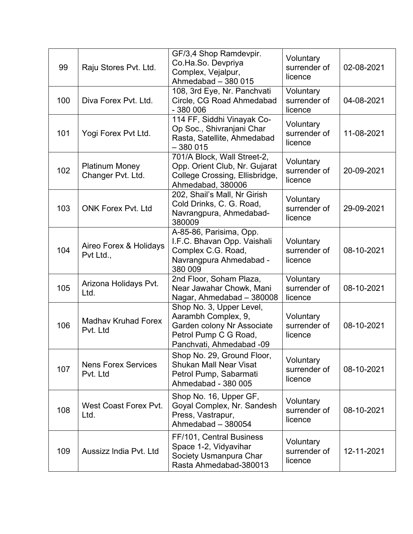| 99  | Raju Stores Pvt. Ltd.                      | GF/3,4 Shop Ramdevpir.<br>Co.Ha.So. Devpriya<br>Complex, Vejalpur,<br>Ahmedabad - 380 015                                          | Voluntary<br>surrender of<br>licence | 02-08-2021 |
|-----|--------------------------------------------|------------------------------------------------------------------------------------------------------------------------------------|--------------------------------------|------------|
| 100 | Diva Forex Pvt. Ltd.                       | 108, 3rd Eye, Nr. Panchvati<br>Circle, CG Road Ahmedabad<br>$-380006$                                                              | Voluntary<br>surrender of<br>licence | 04-08-2021 |
| 101 | Yogi Forex Pvt Ltd.                        | 114 FF, Siddhi Vinayak Co-<br>Op Soc., Shivranjani Char<br>Rasta, Satellite, Ahmedabad<br>$-380015$                                | Voluntary<br>surrender of<br>licence | 11-08-2021 |
| 102 | <b>Platinum Money</b><br>Changer Pvt. Ltd. | 701/A Block, Wall Street-2,<br>Opp. Orient Club, Nr. Gujarat<br>College Crossing, Ellisbridge,<br>Ahmedabad, 380006                | Voluntary<br>surrender of<br>licence | 20-09-2021 |
| 103 | <b>ONK Forex Pvt. Ltd</b>                  | 202, Shail's Mall, Nr Girish<br>Cold Drinks, C. G. Road,<br>Navrangpura, Ahmedabad-<br>380009                                      | Voluntary<br>surrender of<br>licence | 29-09-2021 |
| 104 | Aireo Forex & Holidays<br>Pvt Ltd.,        | A-85-86, Parisima, Opp.<br>I.F.C. Bhavan Opp. Vaishali<br>Complex C.G. Road,<br>Navrangpura Ahmedabad -<br>380 009                 | Voluntary<br>surrender of<br>licence | 08-10-2021 |
| 105 | Arizona Holidays Pvt.<br>Ltd.              | 2nd Floor, Soham Plaza,<br>Near Jawahar Chowk, Mani<br>Nagar, Ahmedabad - 380008                                                   | Voluntary<br>surrender of<br>licence | 08-10-2021 |
| 106 | <b>Madhav Kruhad Forex</b><br>Pvt. Ltd     | Shop No. 3, Upper Level,<br>Aarambh Complex, 9,<br>Garden colony Nr Associate<br>Petrol Pump C G Road,<br>Panchvati, Ahmedabad -09 | Voluntary<br>surrender of<br>licence | 08-10-2021 |
| 107 | <b>Nens Forex Services</b><br>Pvt. Ltd     | Shop No. 29, Ground Floor,<br><b>Shukan Mall Near Visat</b><br>Petrol Pump, Sabarmati<br>Ahmedabad - 380 005                       | Voluntary<br>surrender of<br>licence | 08-10-2021 |
| 108 | West Coast Forex Pvt.<br>Ltd.              | Shop No. 16, Upper GF,<br>Goyal Complex, Nr. Sandesh<br>Press, Vastrapur,<br>Ahmedabad - 380054                                    | Voluntary<br>surrender of<br>licence | 08-10-2021 |
| 109 | Aussizz India Pvt. Ltd                     | FF/101, Central Business<br>Space 1-2, Vidyavihar<br>Society Usmanpura Char<br>Rasta Ahmedabad-380013                              | Voluntary<br>surrender of<br>licence | 12-11-2021 |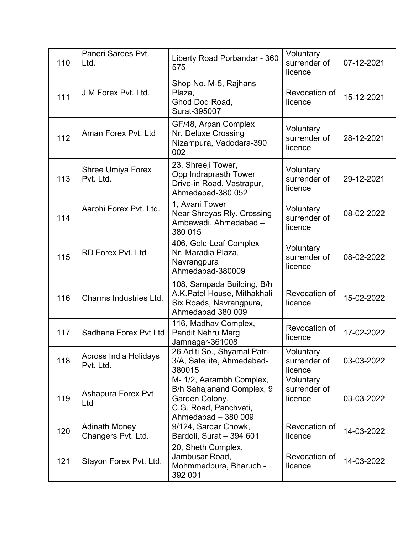| 110 | Paneri Sarees Pvt.<br>Ltd.                 | Liberty Road Porbandar - 360<br>575                                                                                     | Voluntary<br>surrender of<br>licence | 07-12-2021 |
|-----|--------------------------------------------|-------------------------------------------------------------------------------------------------------------------------|--------------------------------------|------------|
| 111 | J M Forex Pvt. Ltd.                        | Shop No. M-5, Rajhans<br>Plaza,<br>Ghod Dod Road,<br>Surat-395007                                                       | Revocation of<br>licence             | 15-12-2021 |
| 112 | Aman Forex Pvt. Ltd                        | GF/48, Arpan Complex<br>Nr. Deluxe Crossing<br>Nizampura, Vadodara-390<br>002                                           | Voluntary<br>surrender of<br>licence | 28-12-2021 |
| 113 | Shree Umiya Forex<br>Pvt. Ltd.             | 23, Shreeji Tower,<br>Opp Indraprasth Tower<br>Drive-in Road, Vastrapur,<br>Ahmedabad-380 052                           | Voluntary<br>surrender of<br>licence | 29-12-2021 |
| 114 | Aarohi Forex Pvt. Ltd.                     | 1, Avani Tower<br>Near Shreyas Rly. Crossing<br>Ambawadi, Ahmedabad -<br>380 015                                        | Voluntary<br>surrender of<br>licence | 08-02-2022 |
| 115 | <b>RD Forex Pvt. Ltd</b>                   | 406, Gold Leaf Complex<br>Nr. Maradia Plaza,<br>Navrangpura<br>Ahmedabad-380009                                         | Voluntary<br>surrender of<br>licence | 08-02-2022 |
| 116 | <b>Charms Industries Ltd.</b>              | 108, Sampada Building, B/h<br>A.K. Patel House, Mithakhali<br>Six Roads, Navrangpura,<br>Ahmedabad 380 009              | Revocation of<br>licence             | 15-02-2022 |
| 117 | Sadhana Forex Pvt Ltd                      | 116, Madhav Complex,<br>Pandit Nehru Marg<br>Jamnagar-361008                                                            | Revocation of<br>licence             | 17-02-2022 |
| 118 | Across India Holidays<br>Pvt. Ltd.         | 26 Aditi So., Shyamal Patr-<br>3/A, Satellite, Ahmedabad-<br>380015                                                     | Voluntary<br>surrender of<br>licence | 03-03-2022 |
| 119 | Ashapura Forex Pvt<br>Ltd                  | M- 1/2, Aarambh Complex,<br>B/h Sahajanand Complex, 9<br>Garden Colony,<br>C.G. Road, Panchvati,<br>Ahmedabad - 380 009 | Voluntary<br>surrender of<br>licence | 03-03-2022 |
| 120 | <b>Adinath Money</b><br>Changers Pvt. Ltd. | 9/124, Sardar Chowk,<br>Bardoli, Surat - 394 601                                                                        | Revocation of<br>licence             | 14-03-2022 |
| 121 | Stayon Forex Pvt. Ltd.                     | 20, Sheth Complex,<br>Jambusar Road,<br>Mohmmedpura, Bharuch -<br>392 001                                               | Revocation of<br>licence             | 14-03-2022 |